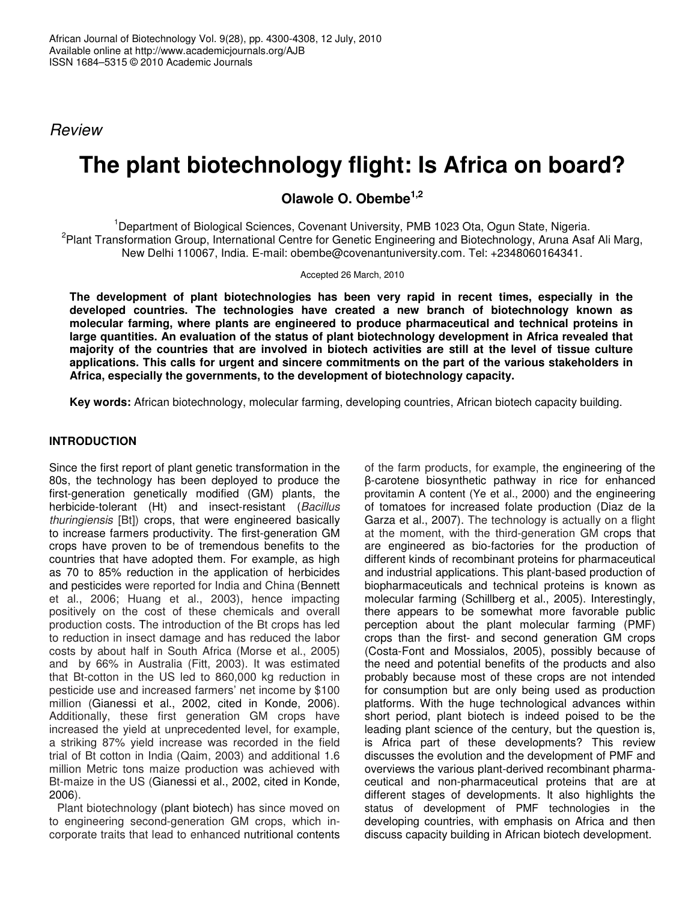*Review*

# **The plant biotechnology flight: Is Africa on board?**

**Olawole O. Obembe 1,2**

<sup>1</sup>Department of Biological Sciences, Covenant University, PMB 1023 Ota, Ogun State, Nigeria. <sup>2</sup> Plant Transformation Group, International Centre for Genetic Engineering and Biotechnology, Aruna Asaf Ali Marg, New Delhi 110067, India. E-mail: obembe@covenantuniversity.com. Tel: +2348060164341.

Accepted 26 March, 2010

**The development of plant biotechnologies has been very rapid in recent times, especially in the developed countries. The technologies have created a new branch of biotechnology known as molecular farming, where plants are engineered to produce pharmaceutical and technical proteins in large quantities. An evaluation of the status of plant biotechnology development in Africa revealed that** majority of the countries that are involved in biotech activities are still at the level of tissue culture **applications. This calls for urgent and sincere commitments on the part of the various stakeholders in Africa, especially the governments, to the development of biotechnology capacity.**

**Key words:** African biotechnology, molecular farming, developing countries, African biotech capacity building.

# **INTRODUCTION**

Since the first report of plant genetic transformation in the 80s, the technology has been deployed to produce the first-generation genetically modified (GM) plants, the herbicide-tolerant (Ht) and insect-resistant (*Bacillus thuringiensis* [Bt]) crops, that were engineered basically to increase farmers productivity. The first-generation GM crops have proven to be of tremendous benefits to the countries that have adopted them. For example, as high as 70 to 85% reduction in the application of herbicides and pesticides were reported for India and China (Bennett et al., 2006; Huang et al., 2003), hence impacting positively on the cost of these chemicals and overall production costs. The introduction of the Bt crops has led to reduction in insect damage and has reduced the labor costs by about half in South Africa (Morse et al., 2005) and by 66% in Australia (Fitt, 2003). It was estimated that Bt-cotton in the US led to 860,000 kg reduction in pesticide use and increased farmers' net income by \$100 million (Gianessi et al., 2002, cited in Konde, 2006). Additionally, these first generation GM crops have increased the yield at unprecedented level, for example, a striking 87% yield increase was recorded in the field trial of Bt cotton in India (Qaim, 2003) and additional 1.6 million Metric tons maize production was achieved with Bt-maize in the US (Gianessi et al., 2002, cited in Konde, 2006).

Plant biotechnology (plant biotech) has since moved on to engineering second-generation GM crops, which incorporate traits that lead to enhanced nutritional contents

of the farm products, for example, the engineering of the -carotene biosynthetic pathway in rice for enhanced provitamin A content (Ye et al., 2000) and the engineering of tomatoes for increased folate production (Diaz de la Garza et al., 2007). The technology is actually on a flight at the moment, with the third-generation GM crops that are engineered as bio-factories for the production of different kinds of recombinant proteins for pharmaceutical and industrial applications. This plant-based production of biopharmaceuticals and technical proteins is known as molecular farming (Schillberg et al., 2005). Interestingly, there appears to be somewhat more favorable public perception about the plant molecular farming (PMF) crops than the first- and second generation GM crops (Costa-Font and Mossialos, 2005), possibly because of the need and potential benefits of the products and also probably because most of these crops are not intended for consumption but are only being used as production platforms. With the huge technological advances within short period, plant biotech is indeed poised to be the leading plant science of the century, but the question is, is Africa part of these developments? This review discusses the evolution and the development of PMF and overviews the various plant-derived recombinant pharmaceutical and non-pharmaceutical proteins that are at different stages of developments. It also highlights the status of development of PMF technologies in the developing countries, with emphasis on Africa and then discuss capacity building in African biotech development.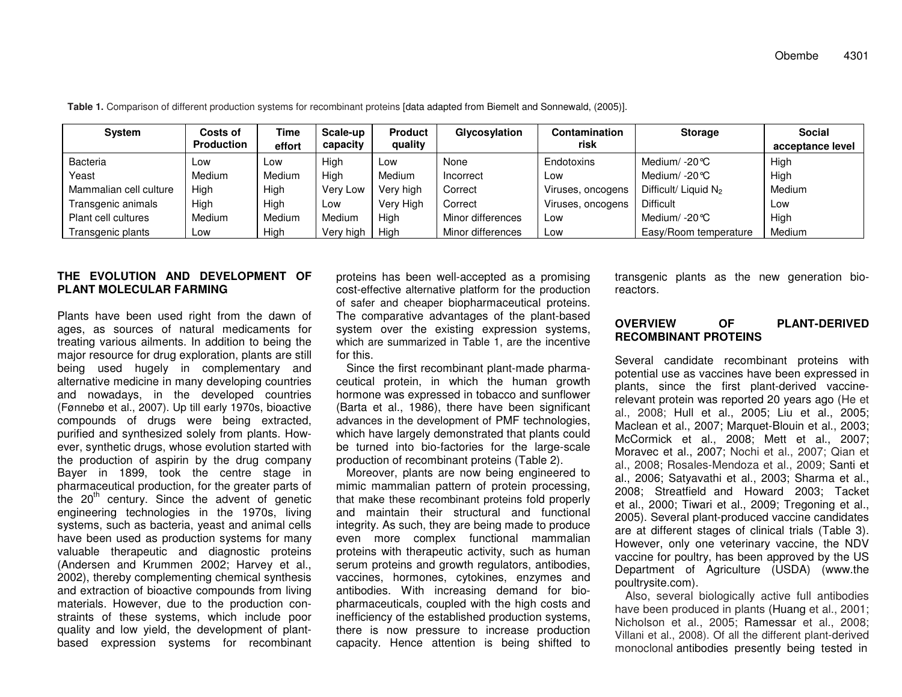| System                 | Costs of          | <b>Time</b> | Scale-up  | <b>Product</b> | Glycosylation     | Contamination     | <b>Storage</b>          | <b>Social</b>    |
|------------------------|-------------------|-------------|-----------|----------------|-------------------|-------------------|-------------------------|------------------|
|                        | <b>Production</b> | effort      | capacity  | quality        |                   | risk              |                         | acceptance level |
| <b>Bacteria</b>        | Low               | Low         | High      | Low            | None              | Endotoxins        | Medium/ $-20^{\circ}$ C | High             |
| Yeast                  | Medium            | Medium      | High      | Medium         | Incorrect         | Low               | Medium/ -20 °C          | High             |
| Mammalian cell culture | High              | High        | Very Low  | Very high      | Correct           | Viruses, oncogens | Difficult/ Liquid $N_2$ | Medium           |
| Transgenic animals     | High              | High        | Low       | Very High      | Correct           | Viruses, oncogens | <b>Difficult</b>        | Low              |
| Plant cell cultures    | Medium            | Medium      | Medium    | High           | Minor differences | Low               | Medium/ -20 °C          | High             |
| Transgenic plants      | LOW               | High        | Very high | High           | Minor differences | Low               | Easy/Room temperature   | Medium           |

**Table 1.** Comparison of different production systems for recombinant proteins [data adapted from Biemelt and Sonnewald, (2005)].

## **THEEVOLUTIONANDDEVELOPMENTOFPLANTMOLECULARFARMING**

Plants have been used right from the dawn of ag es, as sources of natural <sup>m</sup> edicaments for treating various ailments. In a ddition to being the major resource for drug e x ploration, plants are still being use d hug ely in co mple mentary andalternative medicine in many developing countries and nowadays, in the developed countries (F ønnebø et al., 2007). Up till early 1970s, bio activ e co m p ounds of drugs <sup>w</sup> ere b eing e xtracte d, purifie d and synthesize d solely fro mplants. H o wever, synthetic drugs, whose evolution started with the pro duction of aspirin b y the drug co m p any B a y er in 18 9 9, to ok the centre sta g e in pharm aceutical pro duction, for the gre ater p arts of the 20<sup>th</sup> century. Since the advent of genetic engine ering technolo gies in the 19 70s, living systems, such as bacteria, yeast and animal cells ha v e b e en use d as pro duction syste ms for <sup>m</sup> any valuable therapeutic and diagnostic proteins (Andersen and Krummen 2002; Harvey et al., 2002), there by co mple menting che mical synthesis and extraction of bioactive compounds from living materials. Howev er, due to the pro duction constraints of these systems, which include poor quality and low yield, the development of plantb ase d e x pression syste ms for reco mbinant proteins has b e en w ell-acce pte d as a pro mising cost-effective alternative platform for the production of safer and cheaper bio pharm aceutical proteins. The comparative advantages of the plant-based system over the existing expression systems, which are summarized in Table 1, are the incentiv efor this.

Since the first recombinant plant-made pharmaceutical protein, in which the human growth hormone was expressed in tobacco and sunflower (B arta et al., 19 8 6), there ha v e b e en significant advances in the development of P MF technolo gies, which ha v e larg ely d e monstrate d that plants could be turne d into bio-factories for the larg e-scalepro duction of reco mbinant proteins (T able2).

Moreover, plants are now being engineered to mimic ma mmalian p attern of protein processing, that make these recombinant proteins fold properly and maintain their structural and functional integrity. As such, they are being made to produce even more complex functional mammalian proteins with therapeutic activity, such as human serum proteins and growth regulators, antibodies, vaccines, horm ones, cytokines, enzy mes andantib o dies. With incre asing d e mand for biopharmaceuticals, coupled with the high costs and inefficiency of the established production systems, there is now pressure to increase production capacity. Hence attention is being shifted to

transg enic plants as the ne w g eneration bioreactors.

#### **OVERVIEW RECOMBINANTPROTEINSOFPLANT-DERIVED**

S e v eral candid ate reco mbinant proteins with potential use as vaccines have been expressed in plants, since the first plant-derived vaccinerelevant protein was reported 20 years ago (He et al., 2 008; Hull et al., 2 005; Liu et al., 2 005; Maclean et al., 2007; Marquet-Blouin et al., 2003; McCormick et al., 2008; Mett et al., 2007; Moravec et al., 2007; Nochi et al., 2007; Qian et al., 2 008; R osales-Mendozaet al., 2 009; S anti etal., 2006; Satyavathi et al., 2003; Sharma et al., 2008; Streatfield and Howard 2003; Tacket et al., 2 0 0 0; Tiw ari et al., 2 0 0 9; Tre g oning et al., 2 0 0 5). S e v eral plant-pro duce d v accine candid ates are at different stages of clinical trials (Table 3). However, only one veterinary vaccine, the NDV vaccine for poultry, has been approved by the US Dep artment of Agriculture (U SDA) (w ww.thep oultrysite.co m).

Also, se veral biologically active full antib odieshave been produced in plants (Huang et al., 2001; Nicholson et al., 2 0 0 5; R a m essar et al., 2 0 0 8; Villani et al., 2008). Of all the different plant-d eriv e d monoclonal antibodies presently being teste d in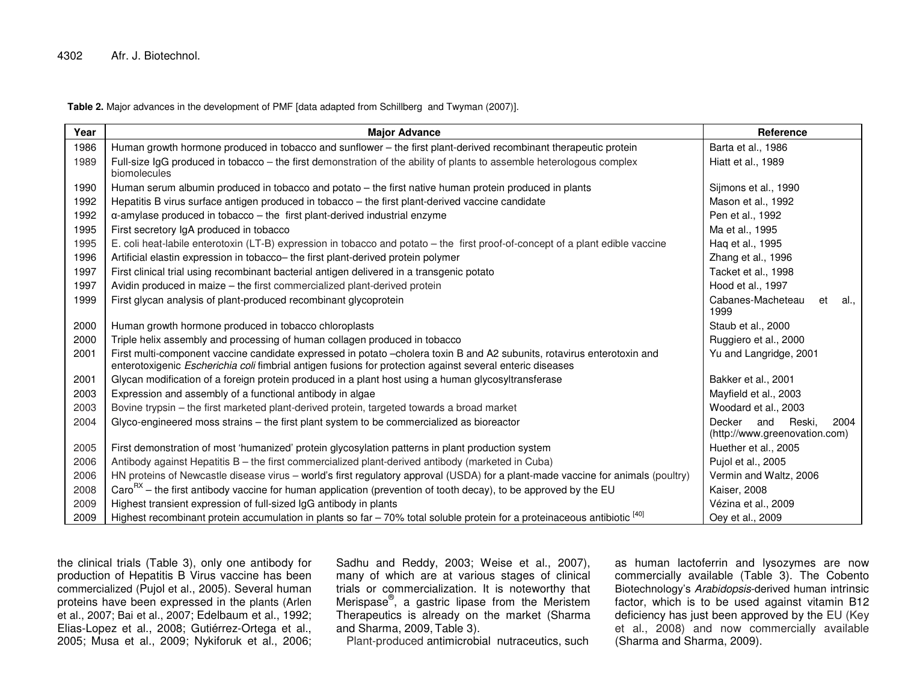**Table 2.** Major advances in the development of PMF [data adapted from Schillberg and Twyman (2007)].

| Year | <b>Major Advance</b>                                                                                                                                                                                                                 | Reference                                                  |
|------|--------------------------------------------------------------------------------------------------------------------------------------------------------------------------------------------------------------------------------------|------------------------------------------------------------|
| 1986 | Human growth hormone produced in tobacco and sunflower - the first plant-derived recombinant therapeutic protein                                                                                                                     | Barta et al., 1986                                         |
| 1989 | Full-size IgG produced in tobacco - the first demonstration of the ability of plants to assemble heterologous complex<br>biomolecules                                                                                                | Hiatt et al., 1989                                         |
| 1990 | Human serum albumin produced in tobacco and potato - the first native human protein produced in plants                                                                                                                               | Sijmons et al., 1990                                       |
| 1992 | Hepatitis B virus surface antigen produced in tobacco - the first plant-derived vaccine candidate                                                                                                                                    | Mason et al., 1992                                         |
| 1992 | $\alpha$ -amylase produced in tobacco – the first plant-derived industrial enzyme                                                                                                                                                    | Pen et al., 1992                                           |
| 1995 | First secretory IgA produced in tobacco                                                                                                                                                                                              | Ma et al., 1995                                            |
| 1995 | E. coli heat-labile enterotoxin (LT-B) expression in tobacco and potato – the first proof-of-concept of a plant edible vaccine                                                                                                       | Haq et al., 1995                                           |
| 1996 | Artificial elastin expression in tobacco- the first plant-derived protein polymer                                                                                                                                                    | Zhang et al., 1996                                         |
| 1997 | First clinical trial using recombinant bacterial antigen delivered in a transgenic potato                                                                                                                                            | Tacket et al., 1998                                        |
| 1997 | Avidin produced in maize - the first commercialized plant-derived protein                                                                                                                                                            | Hood et al., 1997                                          |
| 1999 | First glycan analysis of plant-produced recombinant glycoprotein                                                                                                                                                                     | Cabanes-Macheteau<br>et<br>al.,<br>1999                    |
| 2000 | Human growth hormone produced in tobacco chloroplasts                                                                                                                                                                                | Staub et al., 2000                                         |
| 2000 | Triple helix assembly and processing of human collagen produced in tobacco                                                                                                                                                           | Ruggiero et al., 2000                                      |
| 2001 | First multi-component vaccine candidate expressed in potato -cholera toxin B and A2 subunits, rotavirus enterotoxin and<br>enterotoxigenic Escherichia coli fimbrial antigen fusions for protection against several enteric diseases | Yu and Langridge, 2001                                     |
| 2001 | Glycan modification of a foreign protein produced in a plant host using a human glycosyltransferase                                                                                                                                  | Bakker et al., 2001                                        |
| 2003 | Expression and assembly of a functional antibody in algae                                                                                                                                                                            | Mayfield et al., 2003                                      |
| 2003 | Bovine trypsin – the first marketed plant-derived protein, targeted towards a broad market                                                                                                                                           | Woodard et al., 2003                                       |
| 2004 | Glyco-engineered moss strains - the first plant system to be commercialized as bioreactor                                                                                                                                            | Decker and Reski,<br>2004<br>(http://www.greenovation.com) |
| 2005 | First demonstration of most 'humanized' protein glycosylation patterns in plant production system                                                                                                                                    | Huether et al., 2005                                       |
| 2006 | Antibody against Hepatitis B - the first commercialized plant-derived antibody (marketed in Cuba)                                                                                                                                    | Pujol et al., 2005                                         |
| 2006 | HN proteins of Newcastle disease virus - world's first regulatory approval (USDA) for a plant-made vaccine for animals (poultry)                                                                                                     | Vermin and Waltz, 2006                                     |
| 2008 | Caro <sup>RX</sup> – the first antibody vaccine for human application (prevention of tooth decay), to be approved by the EU                                                                                                          | Kaiser, 2008                                               |
| 2009 | Highest transient expression of full-sized IgG antibody in plants                                                                                                                                                                    | Vézina et al., 2009                                        |
| 2009 | Highest recombinant protein accumulation in plants so far $-70\%$ total soluble protein for a proteinaceous antibiotic $^{[40]}$                                                                                                     | Oey et al., 2009                                           |

the clinical trials (Table 3), only one antibody for production of Hepatitis B Virus vaccine has been commercialized (Pujol et al., 2005). Several human proteins have been expressed in the plants (Arlen et al., 2007; Bai et al., 2007; Edelbaum et al., 1992; Elias-Lopez et al., 2008; Gutiérrez-Ortega et al., 2005; Musa et al., 2009; Nykiforuk et al., 2006;

Sadhu and Reddy, 2003; Weise et al., 2007), many of which are at various stages of clinical trials or commercialization. It is noteworthy that Merispase®, <sup>a</sup> gastric lipase from the Meristem Therapeutics is already on the market (Sharma and Sharma, 2009, Table 3).

Plant-produced antimicrobial nutraceutics, such

as human lactoferrin and lysozymes are now commercially available (Table 3). The Cobento Biotechnology's *Arabidopsis*-derived human intrinsic factor, which is to be used against vitamin B12 deficiency has just been approved by the EU (Key et al., 2008) and now commercially available (Sharma and Sharma, 2009).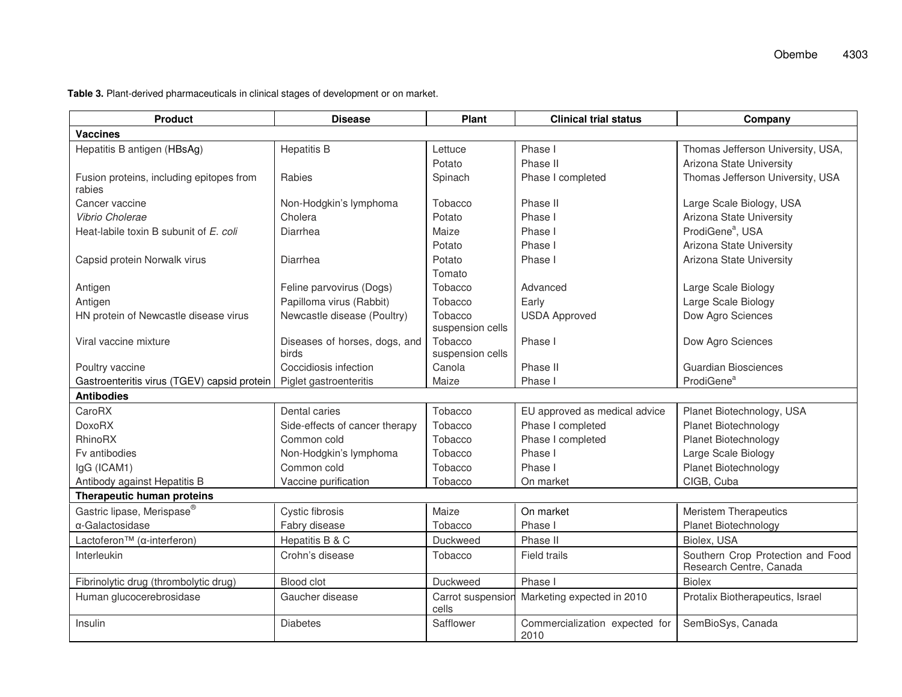| <b>Product</b>                                     | <b>Disease</b>                         | Plant                       | <b>Clinical trial status</b>           | Company                                                      |  |
|----------------------------------------------------|----------------------------------------|-----------------------------|----------------------------------------|--------------------------------------------------------------|--|
| <b>Vaccines</b>                                    |                                        |                             |                                        |                                                              |  |
| Hepatitis B antigen (HBsAg)                        | <b>Hepatitis B</b>                     | Lettuce                     | Phase I                                | Thomas Jefferson University, USA,                            |  |
|                                                    |                                        | Potato                      | Phase II                               | Arizona State University                                     |  |
| Fusion proteins, including epitopes from<br>rabies | Rabies                                 | Spinach                     | Phase I completed                      | Thomas Jefferson University, USA                             |  |
| Cancer vaccine                                     | Non-Hodgkin's lymphoma                 | Tobacco                     | Phase II                               | Large Scale Biology, USA                                     |  |
| Vibrio Cholerae                                    | Cholera                                | Potato                      | Phase I                                | Arizona State University                                     |  |
| Heat-labile toxin B subunit of E. coli             | Diarrhea                               | Maize                       | Phase I                                | ProdiGene <sup>a</sup> , USA                                 |  |
|                                                    |                                        | Potato                      | Phase I                                | Arizona State University                                     |  |
| Capsid protein Norwalk virus                       | Diarrhea                               | Potato                      | Phase I                                | Arizona State University                                     |  |
|                                                    |                                        | Tomato                      |                                        |                                                              |  |
| Antigen                                            | Feline parvovirus (Dogs)               | Tobacco                     | Advanced                               | Large Scale Biology                                          |  |
| Antigen                                            | Papilloma virus (Rabbit)               | Tobacco                     | Early                                  | Large Scale Biology                                          |  |
| HN protein of Newcastle disease virus              | Newcastle disease (Poultry)            | Tobacco<br>suspension cells | <b>USDA Approved</b>                   | Dow Agro Sciences                                            |  |
| Viral vaccine mixture                              | Diseases of horses, dogs, and<br>birds | Tobacco<br>suspension cells | Phase I                                | Dow Agro Sciences                                            |  |
| Poultry vaccine                                    | Coccidiosis infection                  | Canola                      | Phase II                               | <b>Guardian Biosciences</b>                                  |  |
| Gastroenteritis virus (TGEV) capsid protein        | Piglet gastroenteritis                 | Maize                       | Phase I                                | ProdiGene <sup>a</sup>                                       |  |
| <b>Antibodies</b>                                  |                                        |                             |                                        |                                                              |  |
| CaroRX                                             | Dental caries                          | Tobacco                     | EU approved as medical advice          | Planet Biotechnology, USA                                    |  |
| <b>DoxoRX</b>                                      | Side-effects of cancer therapy         | Tobacco                     | Phase I completed                      | Planet Biotechnology                                         |  |
| <b>RhinoRX</b>                                     | Common cold                            | Tobacco                     | Phase I completed                      | Planet Biotechnology                                         |  |
| Fy antibodies                                      | Non-Hodgkin's lymphoma                 | Tobacco                     | Phase I                                | Large Scale Biology                                          |  |
| IgG (ICAM1)                                        | Common cold                            | Tobacco                     | Phase I                                | Planet Biotechnology                                         |  |
| Antibody against Hepatitis B                       | Vaccine purification                   | Tobacco                     | On market                              | CIGB, Cuba                                                   |  |
| Therapeutic human proteins                         |                                        |                             |                                        |                                                              |  |
| Gastric lipase, Merispase®                         | Cystic fibrosis                        | Maize                       | On market                              | <b>Meristem Therapeutics</b>                                 |  |
| $\alpha$ -Galactosidase                            | Fabry disease                          | Tobacco                     | Phase I                                | Planet Biotechnology                                         |  |
| Lactoferon™ (a-interferon)                         | Hepatitis B & C                        | Duckweed                    | Phase II                               | Biolex, USA                                                  |  |
| Interleukin                                        | Crohn's disease                        | Tobacco                     | <b>Field trails</b>                    | Southern Crop Protection and Food<br>Research Centre, Canada |  |
| Fibrinolytic drug (thrombolytic drug)              | <b>Blood clot</b>                      | Duckweed                    | Phase I                                | <b>Biolex</b>                                                |  |
| Human glucocerebrosidase                           | Gaucher disease                        | Carrot suspension<br>cells  | Marketing expected in 2010             | Protalix Biotherapeutics, Israel                             |  |
| Insulin                                            | <b>Diabetes</b>                        | Safflower                   | Commercialization expected for<br>2010 | SemBioSys, Canada                                            |  |

**Table 3.** Plant-derived pharmaceuticals in clinical stages of development or on market.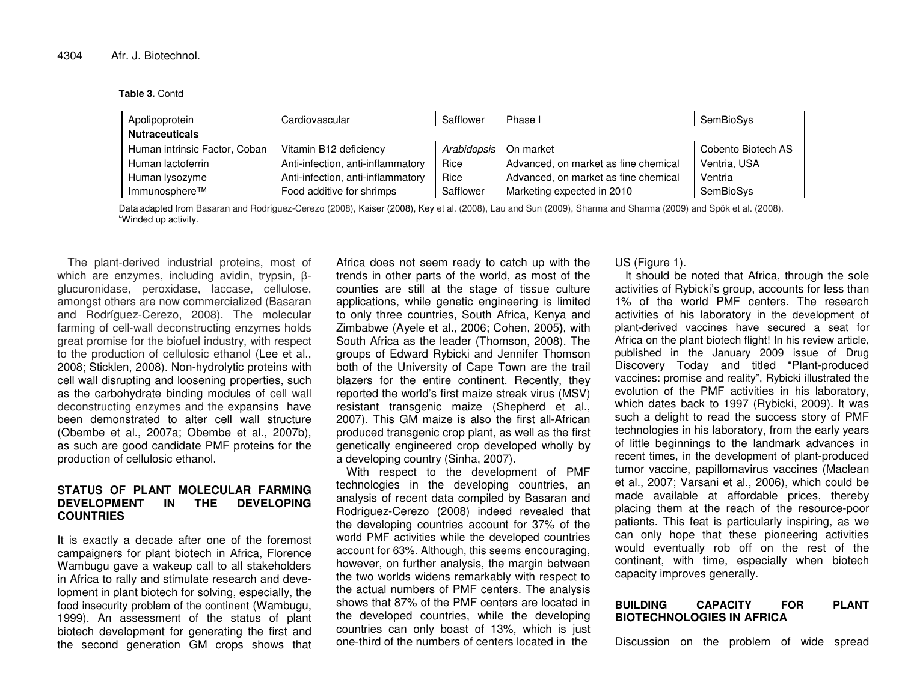**Table 3.** Contd

| Apolipoprotein                | Cardiovascular                    | Safflower   | Phase I                              | SemBioSys          |  |  |  |
|-------------------------------|-----------------------------------|-------------|--------------------------------------|--------------------|--|--|--|
| <b>Nutraceuticals</b>         |                                   |             |                                      |                    |  |  |  |
| Human intrinsic Factor, Coban | Vitamin B12 deficiency            | Arabidopsis | On market                            | Cobento Biotech AS |  |  |  |
| Human lactoferrin             | Anti-infection, anti-inflammatory | Rice        | Advanced, on market as fine chemical | Ventria, USA       |  |  |  |
| Human lysozyme                | Anti-infection, anti-inflammatory | Rice        | Advanced, on market as fine chemical | Ventria            |  |  |  |
| Immunosphere™                 | Food additive for shrimps         | Safflower   | Marketing expected in 2010           | SemBioSys          |  |  |  |

Data adapted from Basaran and Rodríguez-Cerezo (2008), Kaiser (2008), Key et al. (2008), Lau and Sun (2009), Sharma and Sharma (2009) and Spök et al. (2008). <sup>a</sup>Winded up activity.

The plant-derived industrial proteins, most of which are enzymes, including avidin, trypsin, βglucuronidase, peroxidase, laccase, cellulose, amongst others are now commercialized (Basaran and Rodríguez-Cerezo, 2008). The molecular farming of cell-wall deconstructing enzymes holds great promise for the biofuel industry, with respect to the production of cellulosic ethanol (Lee et al., 2008; Sticklen, 2008). Non-hydrolytic proteins with cell wall disrupting and loosening properties, such as the carbohydrate binding modules of cell wall deconstructing enzymes and the expansins have been demonstrated to alter cell wall structure (Obembe et al., 2007a; Obembe et al., 2007b), as such are good candidate PMF proteins for the production of cellulosic ethanol.

#### **STATUS OF PLANT MOLECULAR FARMINGDEVELOPMENT IN THE DEVELOPINGCOUNTRIES**

It is exactly <sup>a</sup> decade after one of the foremost campaigners for plant biotech in Africa, Florence Wambugu gave <sup>a</sup> wakeup call to all stakeholders in Africa to rally and stimulate research and development in plant biotech for solving, especially, the food insecurity problem of the continent (Wambugu, 1999). An assessment of the status of plant biotech development for generating the first and the second generation GM crops shows that

Africa does not seem ready to catch up with the trends in other parts of the world, as most of the counties are still at the stage of tissue culture applications, while genetic engineering is limited to only three countries, South Africa, Kenya and Zimbabwe (Ayele et al., 2006; Cohen, 2005**)**, with South Africa as the leader (Thomson, 2008). The groups of Edward Rybicki and Jennifer Thomson both of the University of Cape Town are the trail blazers for the entire continent. Recently, they reported the world's first maize streak virus (MSV) resistant transgenic maize (Shepherd et al., 2007). This GM maize is also the first all-African produced transgenic crop plant, as well as the first genetically engineered crop developed wholly by a developing country (Sinha, 2007).

With respect to the development of PMF technologies in the developing countries, an analysis of recent data compiled by Basaran and Rodríguez-Cerezo (2008) indeed revealed that the developing countries account for 37% of the world PMF activities while the developed countries account for 63%. Although, this seems encouraging, however, on further analysis, the margin between the two worlds widens remarkably with respect to the actual numbers of PMF centers. The analysis shows that 87% of the PMF centers are located in the developed countries, while the developing countries can only boast of 13%, which is just one-third of the numbers of centers located in the

US (Figure 1).

It should be noted that Africa, through the sole activities of Rybicki's group, accounts for less than 1% of the world PMF centers. The research activities of his laboratory in the development of plant-derived vaccines have secured <sup>a</sup> seat for Africa on the plant biotech flight! In his review article, published in the January 2009 issue of Drug Discovery Today and titled "Plant-produced vaccines: promise and reality", Rybicki illustrated the evolution of the PMF activities in his laboratory, which dates back to 1997 (Rybicki, 2009). It was such <sup>a</sup> delight to read the success story of PMF technologies in his laboratory, from the early years of little beginnings to the landmark advances in recent times, in the development of plant-produced tumor vaccine, papillomavirus vaccines (Maclean et al., 2007; Varsani et al., 2006), which could be made available at affordable prices, thereby placing them at the reach of the resource-poor patients. This feat is particularly inspiring, as we can only hope that these pioneering activities would eventually rob off on the rest of the continent, with time, especially when biotech capacity improves generally.

#### **BUILDING CAPACITY FOR PLANT BIOTECHNOLOGIES IN AFRICA**

Discussion on the problem of wide spread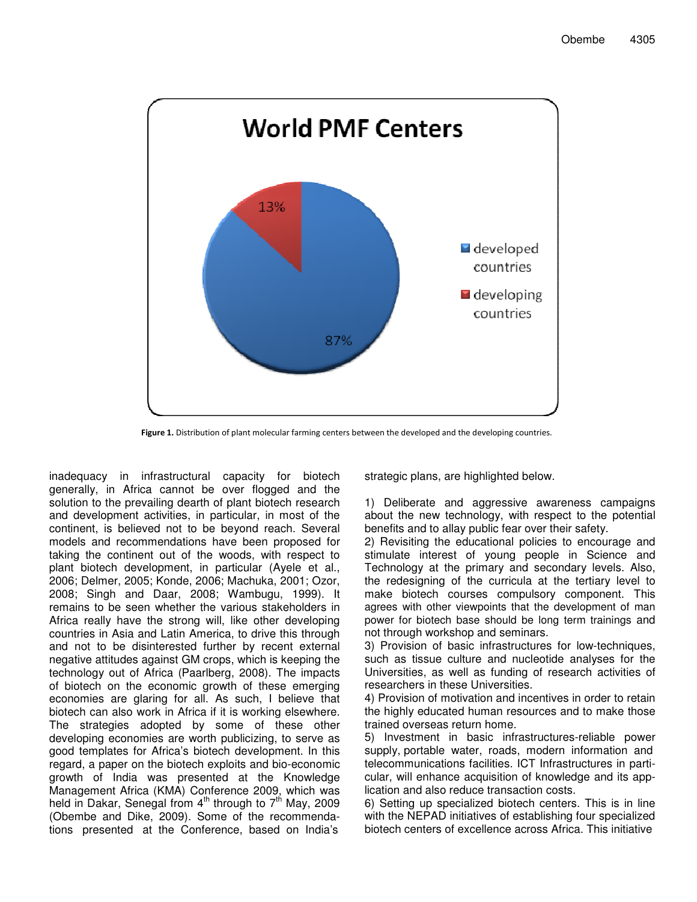

Figure 1. Distribution of plant molecular farming centers between the developed and the developing countries.

inadequacy in infrastructural capacity for biotech generally, in Africa cannot be over flogged and the solution to the prevailing dearth of plant biotech research and development activities, in particular, in most of the continent, is believed not to be beyond reach. Several models and recommendations have been proposed for taking the continent out of the woods, with respect to plant biotech development, in particular (Ayele et al., 2006; Delmer, 2005; Konde, 2006; Machuka, 2001; Ozor, 2008; Singh and Daar, 2008; Wambugu, 1999). It remains to be seen whether the various stakeholders in Africa really have the strong will, like other developing countries in Asia and Latin America, to drive this through and not to be disinterested further by recent external negative attitudes against GM crops, which is keeping the technology out of Africa (Paarlberg, 2008). The impacts of biotech on the economic growth of these emerging economies are glaring for all. As such, I believe that biotech can also work in Africa if it is working elsewhere. The strategies adopted by some of these other developing economies are worth publicizing, to serve as good templates for Africa's biotech development. In this regard, a paper on the biotech exploits and bio-economic growth of India was presented at the Knowledge Management Africa (KMA) Conference 2009, which was held in Dakar, Senegal from 4<sup>th</sup> through to 7<sup>th</sup> May, 2009 (Obembe and Dike, 2009). Some of the recommendations presented at the Conference, based on India's

strategic plans, are highlighted below.

1) Deliberate and aggressive awareness campaigns about the new technology, with respect to the potential benefits and to allay public fear over their safety.

2) Revisiting the educational policies to encourage and stimulate interest of young people in Science and Technology at the primary and secondary levels. Also, the redesigning of the curricula at the tertiary level to make biotech courses compulsory component. This agrees with other viewpoints that the development of man power for biotech base should be long term trainings and not through workshop and seminars.

3) Provision of basic infrastructures for low-techniques, such as tissue culture and nucleotide analyses for the Universities, as well as funding of research activities of researchers in these Universities.

4) Provision of motivation and incentives in order to retain the highly educated human resources and to make those trained overseas return home.

5) Investment in basic infrastructures-reliable power supply, portable water, roads, modern information and telecommunications facilities. ICT Infrastructures in particular, will enhance acquisition of knowledge and its application and also reduce transaction costs.

6) Setting up specialized biotech centers. This is in line with the NEPAD initiatives of establishing four specialized biotech centers of excellence across Africa. This initiative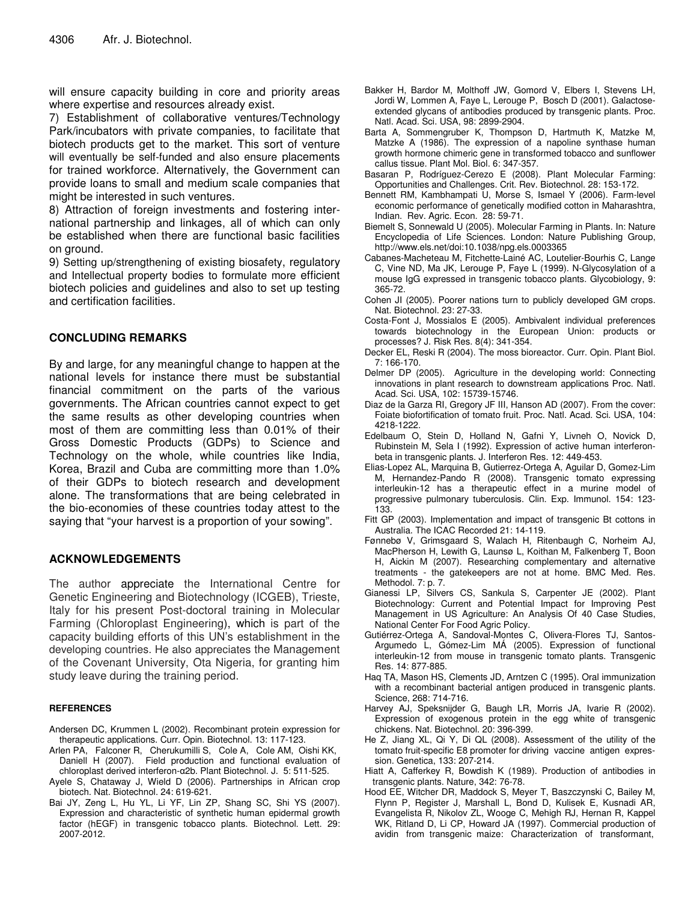will ensure capacity building in core and priority areas where expertise and resources already exist.

7) Establishment of collaborative ventures/Technology Park/incubators with private companies, to facilitate that biotech products get to the market. This sort of venture will eventually be self-funded and also ensure placements for trained workforce. Alternatively, the Government can provide loans to small and medium scale companies that might be interested in such ventures.

8) Attraction of foreign investments and fostering international partnership and linkages, all of which can only be established when there are functional basic facilities on ground.

9) Setting up/strengthening of existing biosafety, regulatory and Intellectual property bodies to formulate more efficient biotech policies and guidelines and also to set up testing and certification facilities.

# **CONCLUDING REMARKS**

By and large, for any meaningful change to happen at the national levels for instance there must be substantial financial commitment on the parts of the various governments. The African countries cannot expect to get the same results as other developing countries when most of them are committing less than 0.01% of their Gross Domestic Products (GDPs) to Science and Technology on the whole, while countries like India, Korea, Brazil and Cuba are committing more than 1.0% of their GDPs to biotech research and development alone. The transformations that are being celebrated in the bio-economies of these countries today attest to the saying that "your harvest is a proportion of your sowing".

## **ACKNOWLEDGEMENTS**

The author appreciate the International Centre for Genetic Engineering and Biotechnology (ICGEB), Trieste, Italy for his present Post-doctoral training in Molecular Farming (Chloroplast Engineering), which is part of the capacity building efforts of this UN's establishment in the developing countries. He also appreciates the Management of the Covenant University, Ota Nigeria, for granting him study leave during the training period.

### **REFERENCES**

- Andersen DC, Krummen L (2002). Recombinant protein expression for therapeutic applications. Curr. Opin. Biotechnol. 13: 117-123.
- Arlen PA, Falconer R, Cherukumilli S, Cole A, Cole AM, Oishi KK, Daniell H (2007). Field production and functional evaluation of chloroplast derived interferon-α2b. Plant Biotechnol. J. 5: 511-525.
- Ayele S, Chataway J, Wield D (2006). Partnerships in African crop biotech. Nat. Biotechnol. 24: 619-621.
- Bai JY, Zeng L, Hu YL, Li YF, Lin ZP, Shang SC, Shi YS (2007). Expression and characteristic of synthetic human epidermal growth factor (hEGF) in transgenic tobacco plants. Biotechnol. Lett. 29: 2007-2012.
- Bakker H, Bardor M, Molthoff JW, Gomord V, Elbers I, Stevens LH, Jordi W, Lommen A, Faye L, Lerouge P, Bosch D (2001). Galactoseextended glycans of antibodies produced by transgenic plants. Proc. Natl. Acad. Sci. USA, 98: 2899-2904.
- Barta A, Sommengruber K, Thompson D, Hartmuth K, Matzke M, Matzke A (1986). The expression of a napoline synthase human growth hormone chimeric gene in transformed tobacco and sunflower callus tissue. Plant Mol. Biol. 6: 347-357.
- Basaran P, Rodríguez-Cerezo E (2008). Plant Molecular Farming: Opportunities and Challenges. Crit. Rev. Biotechnol. 28: 153-172.
- Bennett RM, Kambhampati U, Morse S, Ismael Y (2006). Farm-level economic performance of genetically modified cotton in Maharashtra, Indian. Rev. Agric. Econ. 28: 59-71.
- Biemelt S, Sonnewald U (2005). Molecular Farming in Plants. In: Nature Encyclopedia of Life Sciences. London: Nature Publishing Group, http://www.els.net/doi:10.1038/npg.els.0003365
- Cabanes-Macheteau M, Fitchette-Lainé AC, Loutelier-Bourhis C, Lange C, Vine ND, Ma JK, Lerouge P, Faye L (1999). N-Glycosylation of a mouse IgG expressed in transgenic tobacco plants. Glycobiology, 9: 365-72.
- Cohen JI (2005). Poorer nations turn to publicly developed GM crops. Nat. Biotechnol. 23: 27-33.
- Costa-Font J, Mossialos E (2005). Ambivalent individual preferences towards biotechnology in the European Union: products or processes? J. Risk Res. 8(4): 341-354.
- Decker EL, Reski R (2004). The moss bioreactor. Curr. Opin. Plant Biol. 7: 166-170.
- Delmer DP (2005). Agriculture in the developing world: Connecting innovations in plant research to downstream applications Proc. Natl. Acad. Sci. USA, 102: 15739-15746.
- Diaz de la Garza RI, Gregory JF III, Hanson AD (2007). From the cover: Foiate biofortification of tomato fruit. Proc. Natl. Acad. Sci. USA, 104: 4218-1222.
- Edelbaum O, Stein D, Holland N, Gafni Y, Livneh O, Novick D, Rubinstein M, Sela I (1992). Expression of active human interferonbeta in transgenic plants. J. Interferon Res. 12: 449-453.
- Elias-Lopez AL, Marquina B, Gutierrez-Ortega A, Aguilar D, Gomez-Lim M, Hernandez-Pando R (2008). Transgenic tomato expressing interleukin-12 has a therapeutic effect in a murine model of progressive pulmonary tuberculosis. Clin. Exp. Immunol. 154: 123- 133.
- Fitt GP (2003). Implementation and impact of transgenic Bt cottons in Australia. The ICAC Recorded 21: 14-119.
- Fønnebø V, Grimsgaard S, Walach H, Ritenbaugh C, Norheim AJ, MacPherson H, Lewith G, Launsø L, Koithan M, Falkenberg T, Boon H, Aickin M (2007). Researching complementary and alternative treatments - the gatekeepers are not at home. BMC Med. Res. Methodol. 7: p. 7.
- Gianessi LP, Silvers CS, Sankula S, Carpenter JE (2002). Plant Biotechnology: Current and Potential Impact for Improving Pest Management in US Agriculture: An Analysis Of 40 Case Studies, National Center For Food Agric Policy.
- Gutiérrez-Ortega A, Sandoval-Montes C, Olivera-Flores TJ, Santos-Argumedo L, Gómez-Lim MÁ (2005). Expression of functional interleukin-12 from mouse in transgenic tomato plants. Transgenic Res. 14: 877-885.
- Haq TA, Mason HS, Clements JD, Arntzen C (1995). Oral immunization with a recombinant bacterial antigen produced in transgenic plants. Science, 268: 714-716.
- Harvey AJ, Speksnijder G, Baugh LR, Morris JA, Ivarie R (2002). Expression of exogenous protein in the egg white of transgenic chickens. Nat. Biotechnol. 20: 396-399.
- He Z, Jiang XL, Qi Y, Di QL (2008). Assessment of the utility of the tomato fruit-specific E8 promoter for driving vaccine antigen expression. Genetica, 133: 207-214.
- Hiatt A, Cafferkey R, Bowdish K (1989). Production of antibodies in transgenic plants. Nature, 342: 76-78.
- Hood EE, Witcher DR, Maddock S, Meyer T, Baszczynski C, Bailey M, Flynn P, Register J, Marshall L, Bond D, Kulisek E, Kusnadi AR, Evangelista R, Nikolov ZL, Wooge C, Mehigh RJ, Hernan R, Kappel WK, Ritland D, Li CP, Howard JA (1997). Commercial production of avidin from transgenic maize: Characterization of transformant,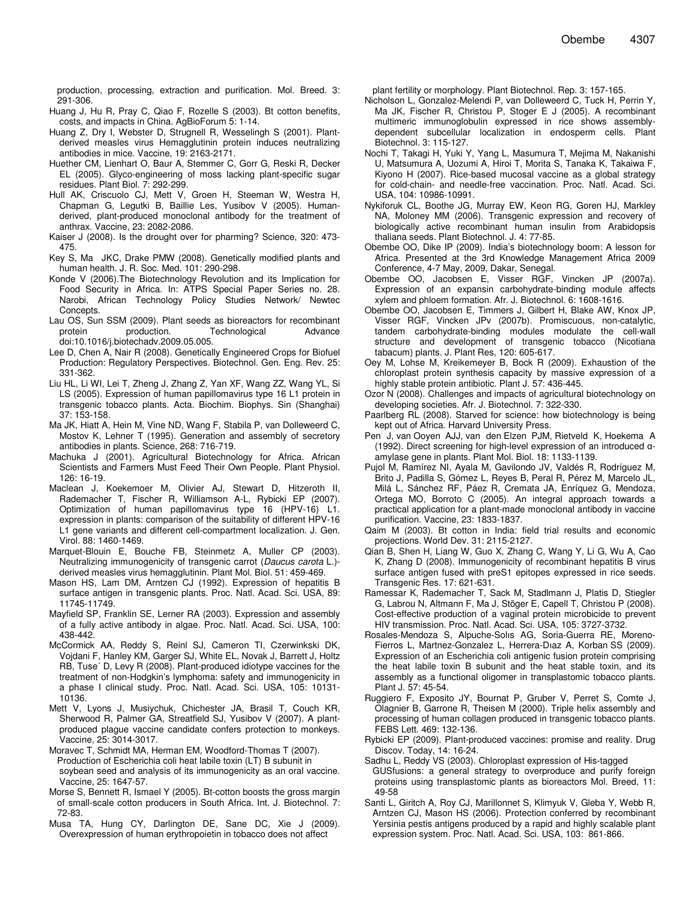production, processing, extraction and purification. Mol. Breed. 3: 291-306.

- Huang J, Hu R, Pray C, Qiao F, Rozelle S (2003). Bt cotton benefits, costs, and impacts in China. AgBioForum 5: 1-14.
- Huang Z, Dry I, Webster D, Strugnell R, Wesselingh S (2001). Plantderived measles virus Hemagglutinin protein induces neutralizing antibodies in mice. Vaccine, 19: 2163-2171.
- Huether CM, Lienhart O, Baur A, Stemmer C, Gorr G, Reski R, Decker EL (2005). Glyco-engineering of moss lacking plant-specific sugar residues. Plant Biol. 7: 292-299.
- Hull AK, Criscuolo CJ, Mett V, Groen H, Steeman W, Westra H, Chapman G, Legutki B, Baillie Les, Yusibov V (2005). Humanderived, plant-produced monoclonal antibody for the treatment of anthrax. Vaccine, 23: 2082-2086.
- Kaiser J (2008). Is the drought over for pharming? Science, 320: 473- 475.
- Key S, Ma JKC, Drake PMW (2008). Genetically modified plants and human health. J. R. Soc. Med. 101: 290-298.
- Konde V (2006).The Biotechnology Revolution and its Implication for Food Security in Africa. In: ATPS Special Paper Series no. 28. Narobi, African Technology Policy Studies Network/ Newtec Concepts.
- Lau OS, Sun SSM (2009). Plant seeds as bioreactors for recombinant protein production. Technological Advance doi:10.1016/j.biotechadv.2009.05.005.
- Lee D, Chen A, Nair R (2008). Genetically Engineered Crops for Biofuel Production: Regulatory Perspectives. Biotechnol. Gen. Eng. Rev. 25: 331-362.
- Liu HL, Li WI, Lei T, Zheng J, Zhang Z, Yan XF, Wang ZZ, Wang YL, Si LS (2005). Expression of human papillomavirus type 16 L1 protein in transgenic tobacco plants. Acta. Biochim. Biophys. Sin (Shanghai) 37: 153-158.
- Ma JK, Hiatt A, Hein M, Vine ND, Wang F, Stabila P, van Dolleweerd C, Mostov K, Lehner T (1995). Generation and assembly of secretory antibodies in plants. Science, 268: 716-719.
- Machuka J (2001). Agricultural Biotechnology for Africa. African Scientists and Farmers Must Feed Their Own People. Plant Physiol. 126: 16-19.
- Maclean J, Koekemoer M, Olivier AJ, Stewart D, Hitzeroth II, Rademacher T, Fischer R, Williamson A-L, Rybicki EP (2007). Optimization of human papillomavirus type 16 (HPV-16) L1. expression in plants: comparison of the suitability of different HPV-16 L1 gene variants and different cell-compartment localization. J. Gen. Virol. 88: 1460-1469.
- Marquet-Blouin E, Bouche FB, Steinmetz A, Muller CP (2003). Neutralizing immunogenicity of transgenic carrot (*Daucus carota* L.) derived measles virus hemagglutinin. Plant Mol. Biol. 51: 459-469.
- Mason HS, Lam DM, Arntzen CJ (1992). Expression of hepatitis B surface antigen in transgenic plants. Proc. Natl. Acad. Sci. USA, 89: 11745-11749.
- Mayfield SP, Franklin SE, Lerner RA (2003). Expression and assembly of a fully active antibody in algae. Proc. Natl. Acad. Sci. USA, 100: 438-442.
- McCormick AA, Reddy S, Reinl SJ, Cameron TI, Czerwinkski DK, Vojdani F, Hanley KM, Garger SJ, White EL, Novak J, Barrett J, Holtz RB, Tuse´ D, Levy R (2008). Plant-produced idiotype vaccines for the treatment of non-Hodgkin's lymphoma: safety and immunogenicity in a phase I clinical study. Proc. Natl. Acad. Sci. USA, 105: 10131- 10136.
- Mett V, Lyons J, Musiychuk, Chichester JA, Brasil T, Couch KR, Sherwood R, Palmer GA, Streatfield SJ, Yusibov V (2007). A plantproduced plague vaccine candidate confers protection to monkeys. Vaccine, 25: 3014-3017.
- Moravec T, Schmidt MA, Herman EM, Woodford-Thomas T (2007). Production of Escherichia coli heat labile toxin (LT) B subunit in soybean seed and analysis of its immunogenicity as an oral vaccine. Vaccine, 25: 1647-57.
- Morse S, Bennett R, Ismael Y (2005). Bt-cotton boosts the gross margin of small-scale cotton producers in South Africa. Int. J. Biotechnol. 7: 72-83.
- Musa TA, Hung CY, Darlington DE, Sane DC, Xie J (2009). Overexpression of human erythropoietin in tobacco does not affect

plant fertility or morphology. Plant Biotechnol. Rep. 3: 157-165.

- Nicholson L, Gonzalez-Melendi P, van Dolleweerd C, Tuck H, Perrin Y, Ma JK, Fischer R, Christou P, Stoger E J (2005). A recombinant multimeric immunoglobulin expressed in rice shows assemblydependent subcellular localization in endosperm cells. Plant Biotechnol. 3: 115-127.
- Nochi T, Takagi H, Yuki Y, Yang L, Masumura T, Mejima M, Nakanishi U, Matsumura A, Uozumi A, Hiroi T, Morita S, Tanaka K, Takaiwa F, Kiyono H (2007). Rice-based mucosal vaccine as a global strategy for cold-chain- and needle-free vaccination. Proc. Natl. Acad. Sci. USA, 104: 10986-10991.
- Nykiforuk CL, Boothe JG, Murray EW, Keon RG, Goren HJ, Markley NA, Moloney MM (2006). Transgenic expression and recovery of biologically active recombinant human insulin from Arabidopsis thaliana seeds. Plant Biotechnol. J. 4: 77-85.
- Obembe OO, Dike IP (2009). India's biotechnology boom: A lesson for Africa. Presented at the 3rd Knowledge Management Africa 2009 Conference, 4-7 May, 2009, Dakar, Senegal.
- Obembe OO, Jacobsen E, Visser RGF, Vincken JP (2007a). Expression of an expansin carbohydrate-binding module affects xylem and phloem formation. Afr. J. Biotechnol. 6: 1608-1616.
- Obembe OO, Jacobsen E, Timmers J, Gilbert H, Blake AW, Knox JP, Visser RGF, Vincken JPv (2007b). Promiscuous, non-catalytic, tandem carbohydrate-binding modules modulate the cell-wall structure and development of transgenic tobacco (Nicotiana tabacum) plants. J. Plant Res, 120: 605-617.
- Oey M, Lohse M, Kreikemeyer B, Bock R (2009). Exhaustion of the chloroplast protein synthesis capacity by massive expression of a highly stable protein antibiotic. Plant J. 57: 436-445.
- Ozor N (2008). Challenges and impacts of agricultural biotechnology on developing societies. Afr. J. Biotechnol. 7: 322-330.
- Paarlberg RL (2008). Starved for science: how biotechnology is being kept out of Africa. Harvard University Press.
- Pen J, van Ooyen AJJ, van den Elzen PJM, Rietveld K, Hoekema A (1992). Direct screening for high-level expression of an introduced  $\alpha$ amylase gene in plants. Plant Mol. Biol. 18: 1133-1139.
- Pujol M, Ramírez NI, Ayala M, Gavilondo JV, Valdés R, Rodríguez M, Brito J, Padilla S, Gómez L, Reyes B, Peral R, Pérez M, Marcelo JL, Milá L, Sánchez RF, Páez R, Cremata JA, Enríquez G, Mendoza, Ortega MO, Borroto C (2005). An integral approach towards a practical application for a plant-made monoclonal antibody in vaccine purification. Vaccine, 23: 1833-1837.
- Qaim M (2003). Bt cotton in India: field trial results and economic projections. World Dev. 31: 2115-2127.
- Qian B, Shen H, Liang W, Guo X, Zhang C, Wang Y, Li G, Wu A, Cao K, Zhang D (2008). Immunogenicity of recombinant hepatitis B virus surface antigen fused with preS1 epitopes expressed in rice seeds. Transgenic Res. 17: 621-631.
- Ramessar K, Rademacher T, Sack M, Stadlmann J, Platis D, Stiegler G, Labrou N, Altmann F, Ma J, Stöger E, Capell T, Christou P (2008). Cost-effective production of a vaginal protein microbicide to prevent HIV transmission. Proc. Natl. Acad. Sci. USA, 105: 3727-3732.
- Rosales-Mendoza S, Alpuche-Solıs AG, Soria-Guerra RE, Moreno-Fierros L, Martnez-Gonzalez L, Herrera-Dıaz A, Korban SS (2009). Expression of an Escherichia coli antigenic fusion protein comprising the heat labile toxin B subunit and the heat stable toxin, and its assembly as a functional oligomer in transplastomic tobacco plants. Plant J. 57: 45-54.
- Ruggiero F, Exposito JY, Bournat P, Gruber V, Perret S, Comte J, Olagnier B, Garrone R, Theisen M (2000). Triple helix assembly and processing of human collagen produced in transgenic tobacco plants. FEBS Lett. 469: 132-136.
- Rybicki EP (2009). Plant-produced vaccines: promise and reality. Drug Discov. Today, 14: 16-24.
- Sadhu L, Reddy VS (2003). Chloroplast expression of His-tagged GUSfusions: a general strategy to overproduce and purify foreign proteins using transplastomic plants as bioreactors Mol. Breed, 11: 49-58
- Santi L, Giritch A, Roy CJ, Marillonnet S, Klimyuk V, Gleba Y, Webb R, Arntzen CJ, Mason HS (2006). Protection conferred by recombinant Yersinia pestis antigens produced by a rapid and highly scalable plant expression system. Proc. Natl. Acad. Sci. USA, 103: 861-866.